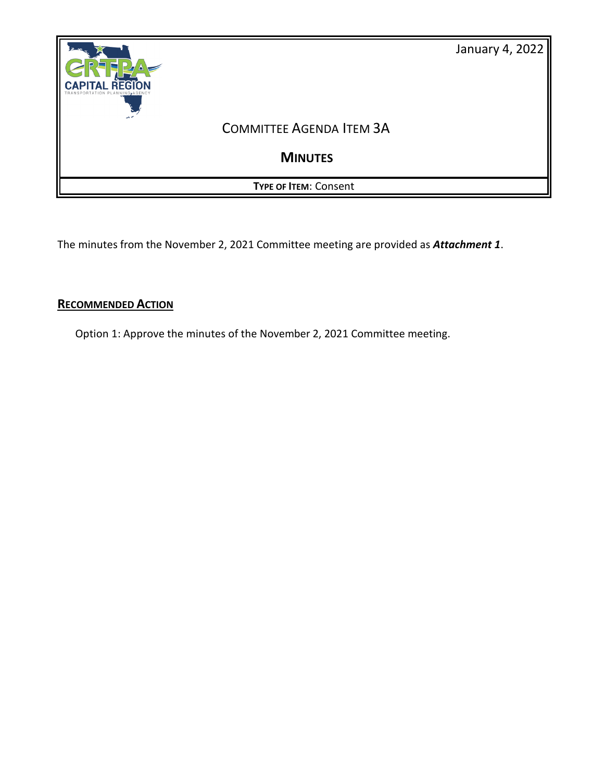

The minutes from the November 2, 2021 Committee meeting are provided as *Attachment 1*.

# **RECOMMENDED ACTION**

Option 1: Approve the minutes of the November 2, 2021 Committee meeting.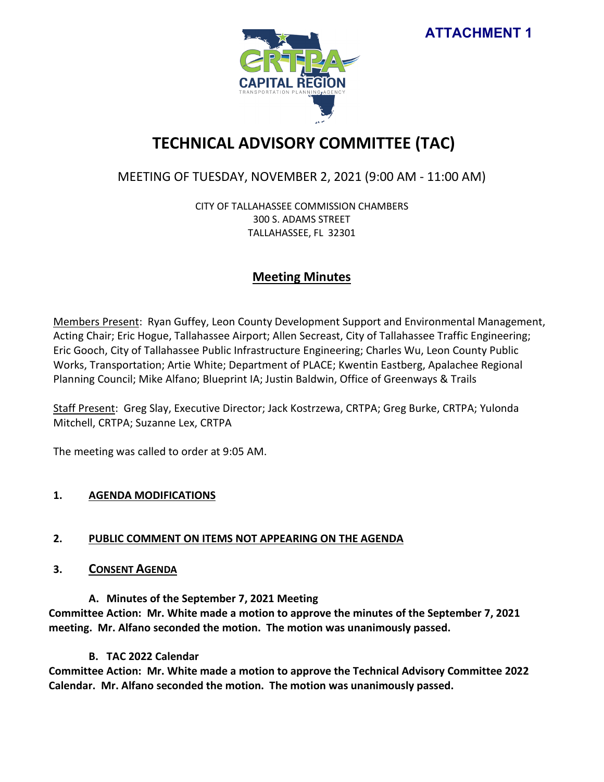**ATTACHMENT 1**



# **TECHNICAL ADVISORY COMMITTEE (TAC)**

# MEETING OF TUESDAY, NOVEMBER 2, 2021 (9:00 AM - 11:00 AM)

CITY OF TALLAHASSEE COMMISSION CHAMBERS 300 S. ADAMS STREET TALLAHASSEE, FL 32301

# **Meeting Minutes**

Members Present: Ryan Guffey, Leon County Development Support and Environmental Management, Acting Chair; Eric Hogue, Tallahassee Airport; Allen Secreast, City of Tallahassee Traffic Engineering; Eric Gooch, City of Tallahassee Public Infrastructure Engineering; Charles Wu, Leon County Public Works, Transportation; Artie White; Department of PLACE; Kwentin Eastberg, Apalachee Regional Planning Council; Mike Alfano; Blueprint IA; Justin Baldwin, Office of Greenways & Trails

Staff Present: Greg Slay, Executive Director; Jack Kostrzewa, CRTPA; Greg Burke, CRTPA; Yulonda Mitchell, CRTPA; Suzanne Lex, CRTPA

The meeting was called to order at 9:05 AM.

# **1. AGENDA MODIFICATIONS**

# **2. PUBLIC COMMENT ON ITEMS NOT APPEARING ON THE AGENDA**

**3. CONSENT AGENDA**

**A. Minutes of the September 7, 2021 Meeting Committee Action: Mr. White made a motion to approve the minutes of the September 7, 2021 meeting. Mr. Alfano seconded the motion. The motion was unanimously passed.** 

# **B. TAC 2022 Calendar**

**Committee Action: Mr. White made a motion to approve the Technical Advisory Committee 2022 Calendar. Mr. Alfano seconded the motion. The motion was unanimously passed.**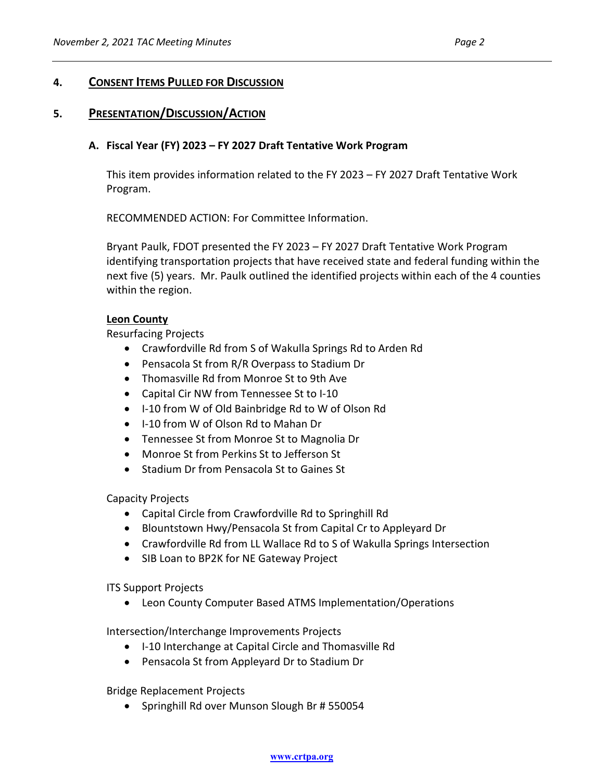# **4. CONSENT ITEMS PULLED FOR DISCUSSION**

# **5. PRESENTATION/DISCUSSION/ACTION**

### **A. Fiscal Year (FY) 2023 – FY 2027 Draft Tentative Work Program**

This item provides information related to the FY 2023 – FY 2027 Draft Tentative Work Program.

RECOMMENDED ACTION: For Committee Information.

Bryant Paulk, FDOT presented the FY 2023 – FY 2027 Draft Tentative Work Program identifying transportation projects that have received state and federal funding within the next five (5) years. Mr. Paulk outlined the identified projects within each of the 4 counties within the region.

#### **Leon County**

Resurfacing Projects

- Crawfordville Rd from S of Wakulla Springs Rd to Arden Rd
- Pensacola St from R/R Overpass to Stadium Dr
- Thomasville Rd from Monroe St to 9th Ave
- Capital Cir NW from Tennessee St to I-10
- I-10 from W of Old Bainbridge Rd to W of Olson Rd
- I-10 from W of Olson Rd to Mahan Dr
- Tennessee St from Monroe St to Magnolia Dr
- Monroe St from Perkins St to Jefferson St
- Stadium Dr from Pensacola St to Gaines St

Capacity Projects

- Capital Circle from Crawfordville Rd to Springhill Rd
- Blountstown Hwy/Pensacola St from Capital Cr to Appleyard Dr
- Crawfordville Rd from LL Wallace Rd to S of Wakulla Springs Intersection
- SIB Loan to BP2K for NE Gateway Project

ITS Support Projects

• Leon County Computer Based ATMS Implementation/Operations

Intersection/Interchange Improvements Projects

- I-10 Interchange at Capital Circle and Thomasville Rd
- Pensacola St from Appleyard Dr to Stadium Dr

Bridge Replacement Projects

• Springhill Rd over Munson Slough Br # 550054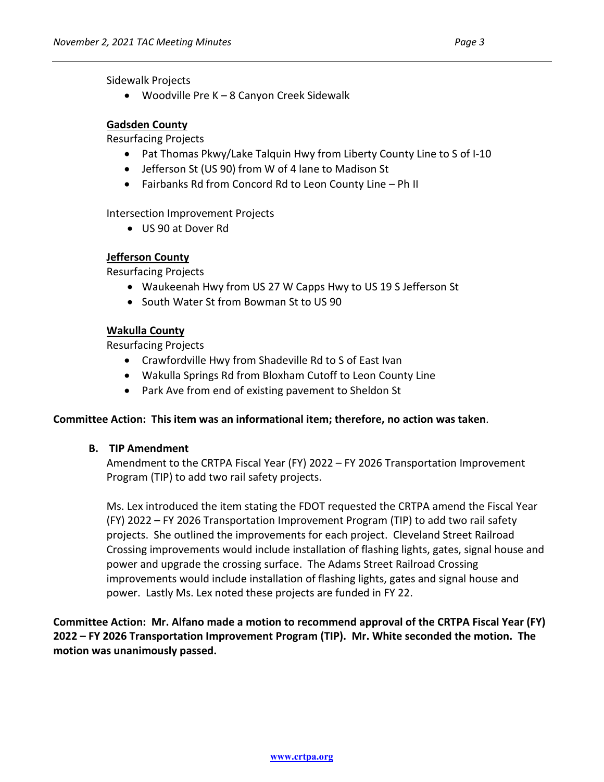Sidewalk Projects

• Woodville Pre K – 8 Canyon Creek Sidewalk

# **Gadsden County**

Resurfacing Projects

- Pat Thomas Pkwy/Lake Talquin Hwy from Liberty County Line to S of I-10
- Jefferson St (US 90) from W of 4 lane to Madison St
- Fairbanks Rd from Concord Rd to Leon County Line Ph II

Intersection Improvement Projects

• US 90 at Dover Rd

# **Jefferson County**

Resurfacing Projects

- Waukeenah Hwy from US 27 W Capps Hwy to US 19 S Jefferson St
- South Water St from Bowman St to US 90

# **Wakulla County**

Resurfacing Projects

- Crawfordville Hwy from Shadeville Rd to S of East Ivan
- Wakulla Springs Rd from Bloxham Cutoff to Leon County Line
- Park Ave from end of existing pavement to Sheldon St

## **Committee Action: This item was an informational item; therefore, no action was taken**.

## **B. TIP Amendment**

Amendment to the CRTPA Fiscal Year (FY) 2022 – FY 2026 Transportation Improvement Program (TIP) to add two rail safety projects.

Ms. Lex introduced the item stating the FDOT requested the CRTPA amend the Fiscal Year (FY) 2022 – FY 2026 Transportation Improvement Program (TIP) to add two rail safety projects. She outlined the improvements for each project. Cleveland Street Railroad Crossing improvements would include installation of flashing lights, gates, signal house and power and upgrade the crossing surface. The Adams Street Railroad Crossing improvements would include installation of flashing lights, gates and signal house and power. Lastly Ms. Lex noted these projects are funded in FY 22.

**Committee Action: Mr. Alfano made a motion to recommend approval of the CRTPA Fiscal Year (FY) 2022 – FY 2026 Transportation Improvement Program (TIP). Mr. White seconded the motion. The motion was unanimously passed.**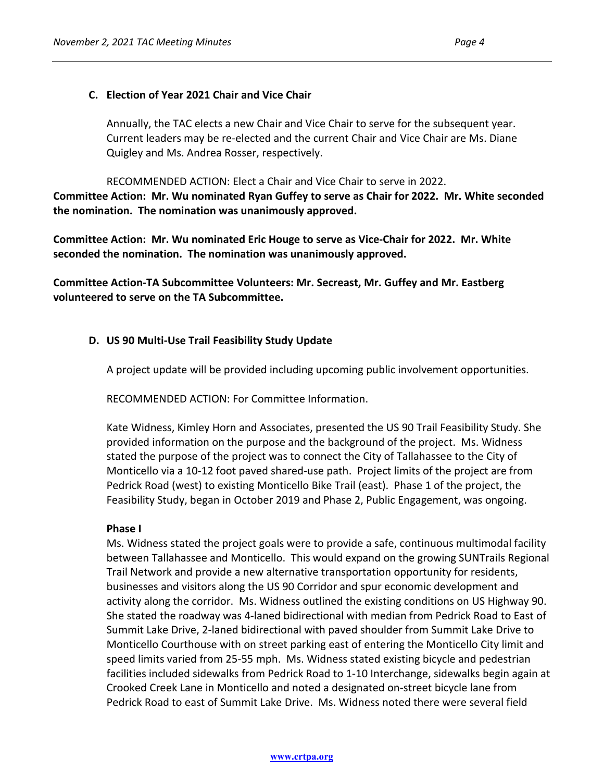### **C. Election of Year 2021 Chair and Vice Chair**

Annually, the TAC elects a new Chair and Vice Chair to serve for the subsequent year. Current leaders may be re-elected and the current Chair and Vice Chair are Ms. Diane Quigley and Ms. Andrea Rosser, respectively.

RECOMMENDED ACTION: Elect a Chair and Vice Chair to serve in 2022. **Committee Action: Mr. Wu nominated Ryan Guffey to serve as Chair for 2022. Mr. White seconded the nomination. The nomination was unanimously approved.**

**Committee Action: Mr. Wu nominated Eric Houge to serve as Vice-Chair for 2022. Mr. White seconded the nomination. The nomination was unanimously approved.** 

**Committee Action-TA Subcommittee Volunteers: Mr. Secreast, Mr. Guffey and Mr. Eastberg volunteered to serve on the TA Subcommittee.** 

#### **D. US 90 Multi-Use Trail Feasibility Study Update**

A project update will be provided including upcoming public involvement opportunities.

RECOMMENDED ACTION: For Committee Information.

Kate Widness, Kimley Horn and Associates, presented the US 90 Trail Feasibility Study. She provided information on the purpose and the background of the project. Ms. Widness stated the purpose of the project was to connect the City of Tallahassee to the City of Monticello via a 10-12 foot paved shared-use path. Project limits of the project are from Pedrick Road (west) to existing Monticello Bike Trail (east). Phase 1 of the project, the Feasibility Study, began in October 2019 and Phase 2, Public Engagement, was ongoing.

#### **Phase I**

Ms. Widness stated the project goals were to provide a safe, continuous multimodal facility between Tallahassee and Monticello. This would expand on the growing SUNTrails Regional Trail Network and provide a new alternative transportation opportunity for residents, businesses and visitors along the US 90 Corridor and spur economic development and activity along the corridor. Ms. Widness outlined the existing conditions on US Highway 90. She stated the roadway was 4-laned bidirectional with median from Pedrick Road to East of Summit Lake Drive, 2-laned bidirectional with paved shoulder from Summit Lake Drive to Monticello Courthouse with on street parking east of entering the Monticello City limit and speed limits varied from 25-55 mph. Ms. Widness stated existing bicycle and pedestrian facilities included sidewalks from Pedrick Road to 1-10 Interchange, sidewalks begin again at Crooked Creek Lane in Monticello and noted a designated on-street bicycle lane from Pedrick Road to east of Summit Lake Drive. Ms. Widness noted there were several field